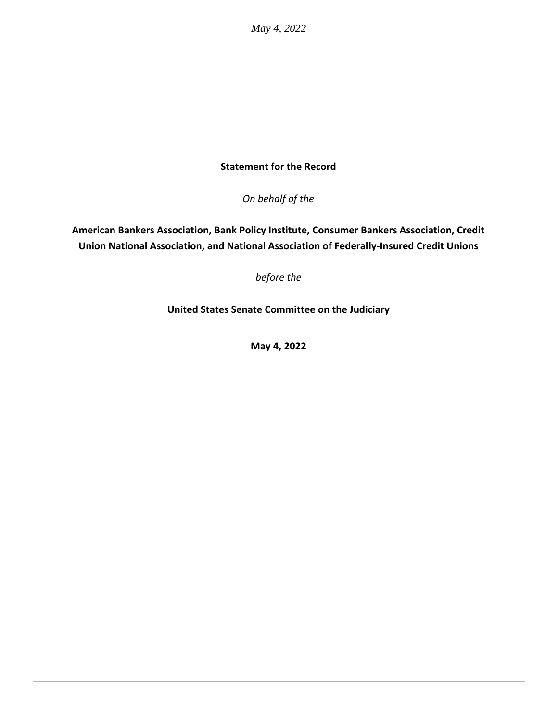# **Statement for the Record**

*On behalf of the*

**American Bankers Association, Bank Policy Institute, Consumer Bankers Association, Credit Union National Association, and National Association of Federally-Insured Credit Unions**

*before the*

**United States Senate Committee on the Judiciary**

**May 4, 2022**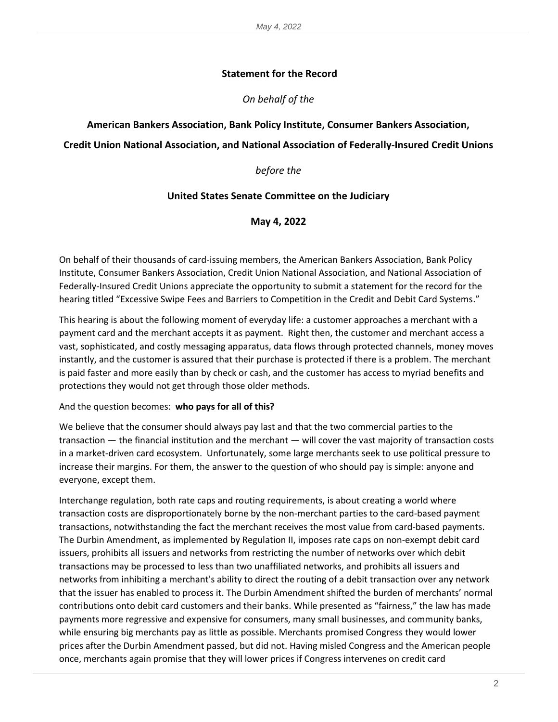## **Statement for the Record**

## *On behalf of the*

#### **American Bankers Association, Bank Policy Institute, Consumer Bankers Association,**

## **Credit Union National Association, and National Association of Federally-Insured Credit Unions**

#### *before the*

#### **United States Senate Committee on the Judiciary**

#### **May 4, 2022**

On behalf of their thousands of card-issuing members, the American Bankers Association, Bank Policy Institute, Consumer Bankers Association, Credit Union National Association, and National Association of Federally-Insured Credit Unions appreciate the opportunity to submit a statement for the record for the hearing titled "Excessive Swipe Fees and Barriers to Competition in the Credit and Debit Card Systems."

This hearing is about the following moment of everyday life: a customer approaches a merchant with a payment card and the merchant accepts it as payment. Right then, the customer and merchant access a vast, sophisticated, and costly messaging apparatus, data flows through protected channels, money moves instantly, and the customer is assured that their purchase is protected if there is a problem. The merchant is paid faster and more easily than by check or cash, and the customer has access to myriad benefits and protections they would not get through those older methods.

#### And the question becomes: **who pays for all of this?**

We believe that the consumer should always pay last and that the two commercial parties to the transaction — the financial institution and the merchant — will cover the vast majority of transaction costs in a market-driven card ecosystem. Unfortunately, some large merchants seek to use political pressure to increase their margins. For them, the answer to the question of who should pay is simple: anyone and everyone, except them.

Interchange regulation, both rate caps and routing requirements, is about creating a world where transaction costs are disproportionately borne by the non-merchant parties to the card-based payment transactions, notwithstanding the fact the merchant receives the most value from card-based payments. The Durbin Amendment, as implemented by Regulation II, imposes rate caps on non-exempt debit card issuers, prohibits all issuers and networks from restricting the number of networks over which debit transactions may be processed to less than two unaffiliated networks, and prohibits all issuers and networks from inhibiting a merchant's ability to direct the routing of a debit transaction over any network that the issuer has enabled to process it. The Durbin Amendment shifted the burden of merchants' normal contributions onto debit card customers and their banks. While presented as "fairness," the law has made payments more regressive and expensive for consumers, many small businesses, and community banks, while ensuring big merchants pay as little as possible. Merchants promised Congress they would lower prices after the Durbin Amendment passed, but did not. Having misled Congress and the American people once, merchants again promise that they will lower prices if Congress intervenes on credit card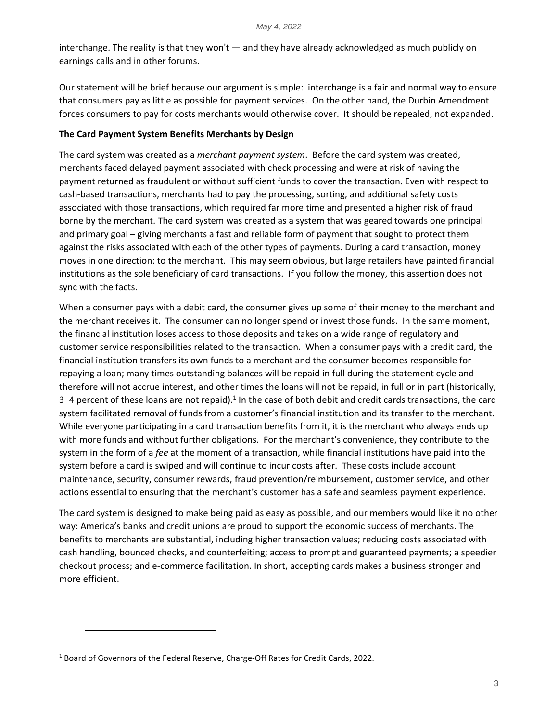interchange. The reality is that they won't — and they have already acknowledged as much publicly on earnings calls and in other forums.

Our statement will be brief because our argument is simple: interchange is a fair and normal way to ensure that consumers pay as little as possible for payment services. On the other hand, the Durbin Amendment forces consumers to pay for costs merchants would otherwise cover. It should be repealed, not expanded.

## **The Card Payment System Benefits Merchants by Design**

The card system was created as a *merchant payment system*. Before the card system was created, merchants faced delayed payment associated with check processing and were at risk of having the payment returned as fraudulent or without sufficient funds to cover the transaction. Even with respect to cash-based transactions, merchants had to pay the processing, sorting, and additional safety costs associated with those transactions, which required far more time and presented a higher risk of fraud borne by the merchant. The card system was created as a system that was geared towards one principal and primary goal – giving merchants a fast and reliable form of payment that sought to protect them against the risks associated with each of the other types of payments. During a card transaction, money moves in one direction: to the merchant. This may seem obvious, but large retailers have painted financial institutions as the sole beneficiary of card transactions. If you follow the money, this assertion does not sync with the facts.

When a consumer pays with a debit card, the consumer gives up some of their money to the merchant and the merchant receives it. The consumer can no longer spend or invest those funds. In the same moment, the financial institution loses access to those deposits and takes on a wide range of regulatory and customer service responsibilities related to the transaction. When a consumer pays with a credit card, the financial institution transfers its own funds to a merchant and the consumer becomes responsible for repaying a loan; many times outstanding balances will be repaid in full during the statement cycle and therefore will not accrue interest, and other times the loans will not be repaid, in full or in part (historically, 3–4 percent of these loans are not repaid). $1$  In the case of both debit and credit cards transactions, the card system facilitated removal of funds from a customer's financial institution and its transfer to the merchant. While everyone participating in a card transaction benefits from it, it is the merchant who always ends up with more funds and without further obligations. For the merchant's convenience, they contribute to the system in the form of a *fee* at the moment of a transaction, while financial institutions have paid into the system before a card is swiped and will continue to incur costs after. These costs include account maintenance, security, consumer rewards, fraud prevention/reimbursement, customer service, and other actions essential to ensuring that the merchant's customer has a safe and seamless payment experience.

The card system is designed to make being paid as easy as possible, and our members would like it no other way: America's banks and credit unions are proud to support the economic success of merchants. The benefits to merchants are substantial, including higher transaction values; reducing costs associated with cash handling, bounced checks, and counterfeiting; access to prompt and guaranteed payments; a speedier checkout process; and e-commerce facilitation. In short, accepting cards makes a business stronger and more efficient.

<sup>&</sup>lt;sup>1</sup> Board of Governors of the Federal Reserve, Charge-Off Rates for Credit Cards, 2022.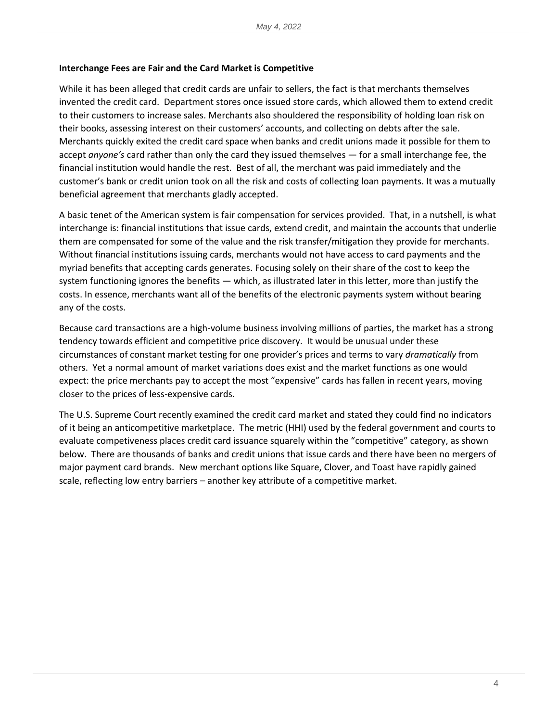#### **Interchange Fees are Fair and the Card Market is Competitive**

While it has been alleged that credit cards are unfair to sellers, the fact is that merchants themselves invented the credit card. Department stores once issued store cards, which allowed them to extend credit to their customers to increase sales. Merchants also shouldered the responsibility of holding loan risk on their books, assessing interest on their customers' accounts, and collecting on debts after the sale. Merchants quickly exited the credit card space when banks and credit unions made it possible for them to accept *anyone's* card rather than only the card they issued themselves — for a small interchange fee, the financial institution would handle the rest. Best of all, the merchant was paid immediately and the customer's bank or credit union took on all the risk and costs of collecting loan payments. It was a mutually beneficial agreement that merchants gladly accepted.

A basic tenet of the American system is fair compensation for services provided. That, in a nutshell, is what interchange is: financial institutions that issue cards, extend credit, and maintain the accounts that underlie them are compensated for some of the value and the risk transfer/mitigation they provide for merchants. Without financial institutions issuing cards, merchants would not have access to card payments and the myriad benefits that accepting cards generates. Focusing solely on their share of the cost to keep the system functioning ignores the benefits — which, as illustrated later in this letter, more than justify the costs. In essence, merchants want all of the benefits of the electronic payments system without bearing any of the costs.

Because card transactions are a high-volume business involving millions of parties, the market has a strong tendency towards efficient and competitive price discovery. It would be unusual under these circumstances of constant market testing for one provider's prices and terms to vary *dramatically* from others. Yet a normal amount of market variations does exist and the market functions as one would expect: the price merchants pay to accept the most "expensive" cards has fallen in recent years, moving closer to the prices of less-expensive cards.

The U.S. Supreme Court recently examined the credit card market and stated they could find no indicators of it being an anticompetitive marketplace. The metric (HHI) used by the federal government and courts to evaluate competiveness places credit card issuance squarely within the "competitive" category, as shown below. There are thousands of banks and credit unions that issue cards and there have been no mergers of major payment card brands. New merchant options like Square, Clover, and Toast have rapidly gained scale, reflecting low entry barriers – another key attribute of a competitive market.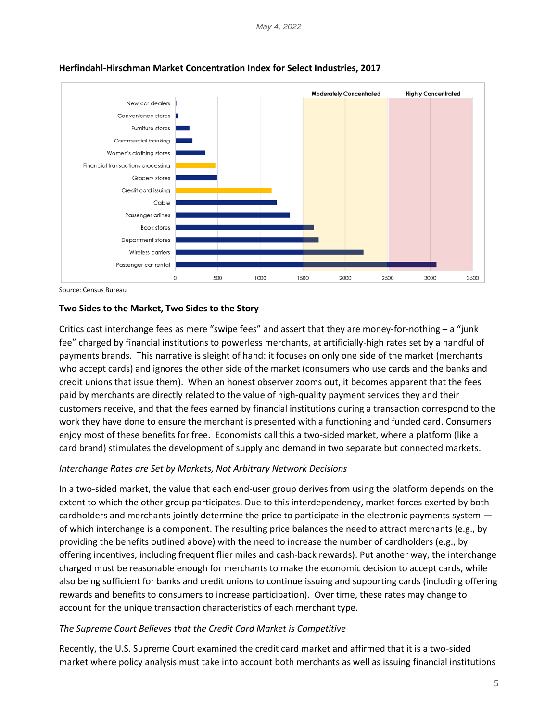

#### **Herfindahl-Hirschman Market Concentration Index for Select Industries, 2017**

Source: Census Bureau

## **Two Sides to the Market, Two Sides to the Story**

Critics cast interchange fees as mere "swipe fees" and assert that they are money-for-nothing – a "junk fee" charged by financial institutions to powerless merchants, at artificially-high rates set by a handful of payments brands. This narrative is sleight of hand: it focuses on only one side of the market (merchants who accept cards) and ignores the other side of the market (consumers who use cards and the banks and credit unions that issue them). When an honest observer zooms out, it becomes apparent that the fees paid by merchants are directly related to the value of high-quality payment services they and their customers receive, and that the fees earned by financial institutions during a transaction correspond to the work they have done to ensure the merchant is presented with a functioning and funded card. Consumers enjoy most of these benefits for free. Economists call this a two-sided market, where a platform (like a card brand) stimulates the development of supply and demand in two separate but connected markets.

## *Interchange Rates are Set by Markets, Not Arbitrary Network Decisions*

In a two-sided market, the value that each end-user group derives from using the platform depends on the extent to which the other group participates. Due to this interdependency, market forces exerted by both cardholders and merchants jointly determine the price to participate in the electronic payments system of which interchange is a component. The resulting price balances the need to attract merchants (e.g., by providing the benefits outlined above) with the need to increase the number of cardholders (e.g., by offering incentives, including frequent flier miles and cash-back rewards). Put another way, the interchange charged must be reasonable enough for merchants to make the economic decision to accept cards, while also being sufficient for banks and credit unions to continue issuing and supporting cards (including offering rewards and benefits to consumers to increase participation). Over time, these rates may change to account for the unique transaction characteristics of each merchant type.

#### *The Supreme Court Believes that the Credit Card Market is Competitive*

Recently, the U.S. Supreme Court examined the credit card market and affirmed that it is a two-sided market where policy analysis must take into account both merchants as well as issuing financial institutions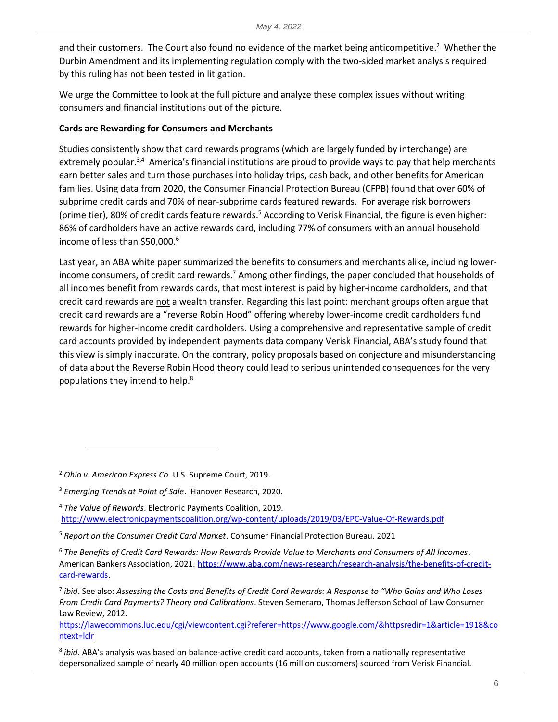and their customers. The Court also found no evidence of the market being anticompetitive.<sup>2</sup> Whether the Durbin Amendment and its implementing regulation comply with the two-sided market analysis required by this ruling has not been tested in litigation.

We urge the Committee to look at the full picture and analyze these complex issues without writing consumers and financial institutions out of the picture.

## **Cards are Rewarding for Consumers and Merchants**

Studies consistently show that card rewards programs (which are largely funded by interchange) are extremely popular.<sup>3,4</sup> America's financial institutions are proud to provide ways to pay that help merchants earn better sales and turn those purchases into holiday trips, cash back, and other benefits for American families. Using data from 2020, the Consumer Financial Protection Bureau (CFPB) found that over 60% of subprime credit cards and 70% of near-subprime cards featured rewards. For average risk borrowers (prime tier), 80% of credit cards feature rewards.<sup>5</sup> According to Verisk Financial, the figure is even higher: 86% of cardholders have an active rewards card, including 77% of consumers with an annual household income of less than \$50,000. 6

Last year, an ABA white paper summarized the benefits to consumers and merchants alike, including lowerincome consumers, of credit card rewards.<sup>7</sup> Among other findings, the paper concluded that households of all incomes benefit from rewards cards, that most interest is paid by higher-income cardholders, and that credit card rewards are not a wealth transfer. Regarding this last point: merchant groups often argue that credit card rewards are a "reverse Robin Hood" offering whereby lower-income credit cardholders fund rewards for higher-income credit cardholders. Using a comprehensive and representative sample of credit card accounts provided by independent payments data company Verisk Financial, ABA's study found that this view is simply inaccurate. On the contrary, policy proposals based on conjecture and misunderstanding of data about the Reverse Robin Hood theory could lead to serious unintended consequences for the very populations they intend to help.<sup>8</sup>

[https://lawecommons.luc.edu/cgi/viewcontent.cgi?referer=https://www.google.com/&httpsredir=1&article=1918&co](https://lawecommons.luc.edu/cgi/viewcontent.cgi?referer=https://www.google.com/&httpsredir=1&article=1918&context=lclr) [ntext=lclr](https://lawecommons.luc.edu/cgi/viewcontent.cgi?referer=https://www.google.com/&httpsredir=1&article=1918&context=lclr)

<sup>2</sup> *Ohio v. American Express Co*. U.S. Supreme Court, 2019.

<sup>3</sup> *Emerging Trends at Point of Sale*. Hanover Research, 2020.

<sup>4</sup> *The Value of Rewards*. Electronic Payments Coalition, 2019*.* <http://www.electronicpaymentscoalition.org/wp-content/uploads/2019/03/EPC-Value-Of-Rewards.pdf>

<sup>5</sup> *Report on the Consumer Credit Card Market*. Consumer Financial Protection Bureau. 2021

<sup>6</sup> *The Benefits of Credit Card Rewards: How Rewards Provide Value to Merchants and Consumers of All Incomes*. American Bankers Association, 2021[. https://www.aba.com/news-research/research-analysis/the-benefits-of-credit](https://www.aba.com/news-research/research-analysis/the-benefits-of-credit-card-rewards)[card-rewards.](https://www.aba.com/news-research/research-analysis/the-benefits-of-credit-card-rewards)

<sup>7</sup> *ibid*. See also: *Assessing the Costs and Benefits of Credit Card Rewards: A Response to "Who Gains and Who Loses From Credit Card Payments? Theory and Calibrations*. Steven Semeraro, Thomas Jefferson School of Law Consumer Law Review, 2012.

<sup>8</sup> *ibid.* ABA's analysis was based on balance-active credit card accounts, taken from a nationally representative depersonalized sample of nearly 40 million open accounts (16 million customers) sourced from Verisk Financial.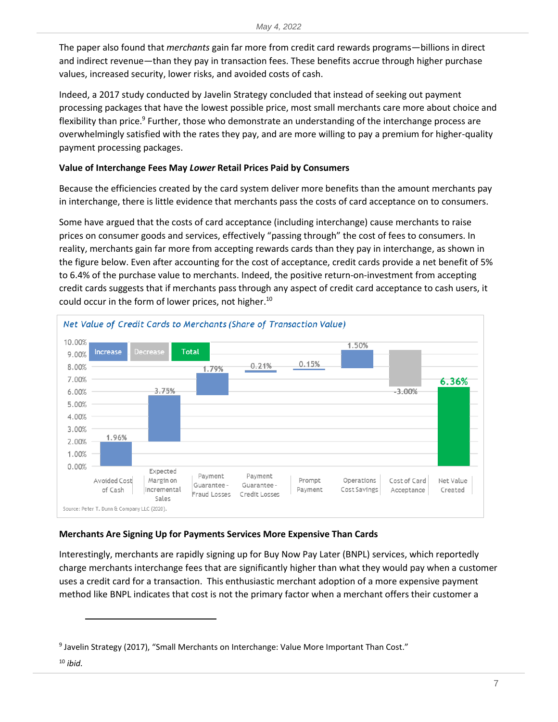The paper also found that *merchants* gain far more from credit card rewards programs—billions in direct and indirect revenue—than they pay in transaction fees. These benefits accrue through higher purchase values, increased security, lower risks, and avoided costs of cash.

Indeed, a 2017 study conducted by Javelin Strategy concluded that instead of seeking out payment processing packages that have the lowest possible price, most small merchants care more about choice and flexibility than price.<sup>9</sup> Further, those who demonstrate an understanding of the interchange process are overwhelmingly satisfied with the rates they pay, and are more willing to pay a premium for higher-quality payment processing packages.

# **Value of Interchange Fees May** *Lower* **Retail Prices Paid by Consumers**

Because the efficiencies created by the card system deliver more benefits than the amount merchants pay in interchange, there is little evidence that merchants pass the costs of card acceptance on to consumers.

Some have argued that the costs of card acceptance (including interchange) cause merchants to raise prices on consumer goods and services, effectively "passing through" the cost of fees to consumers. In reality, merchants gain far more from accepting rewards cards than they pay in interchange, as shown in the figure below. Even after accounting for the cost of acceptance, credit cards provide a net benefit of 5% to 6.4% of the purchase value to merchants. Indeed, the positive return-on-investment from accepting credit cards suggests that if merchants pass through any aspect of credit card acceptance to cash users, it could occur in the form of lower prices, not higher. 10



# **Merchants Are Signing Up for Payments Services More Expensive Than Cards**

Interestingly, merchants are rapidly signing up for Buy Now Pay Later (BNPL) services, which reportedly charge merchants interchange fees that are significantly higher than what they would pay when a customer uses a credit card for a transaction. This enthusiastic merchant adoption of a more expensive payment method like BNPL indicates that cost is not the primary factor when a merchant offers their customer a

<sup>&</sup>lt;sup>9</sup> Javelin Strategy (2017), "Small Merchants on Interchange: Value More Important Than Cost."

<sup>10</sup> *ibid.*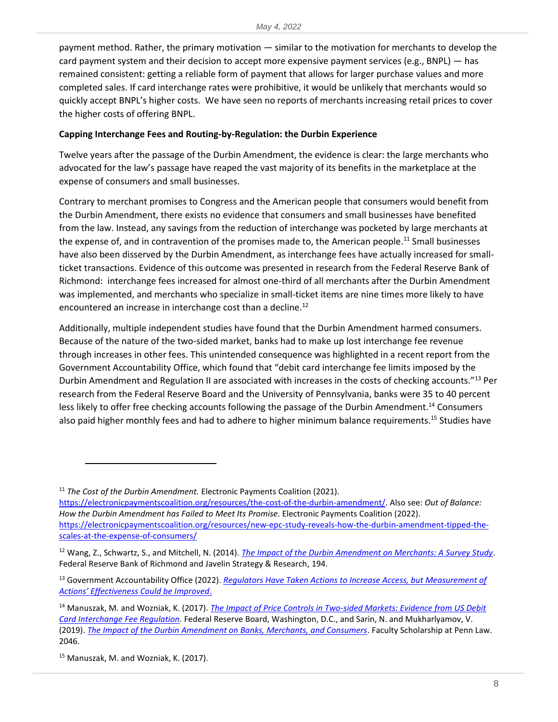payment method. Rather, the primary motivation — similar to the motivation for merchants to develop the card payment system and their decision to accept more expensive payment services (e.g., BNPL) — has remained consistent: getting a reliable form of payment that allows for larger purchase values and more completed sales. If card interchange rates were prohibitive, it would be unlikely that merchants would so quickly accept BNPL's higher costs. We have seen no reports of merchants increasing retail prices to cover the higher costs of offering BNPL.

#### **Capping Interchange Fees and Routing-by-Regulation: the Durbin Experience**

Twelve years after the passage of the Durbin Amendment, the evidence is clear: the large merchants who advocated for the law's passage have reaped the vast majority of its benefits in the marketplace at the expense of consumers and small businesses.

Contrary to merchant promises to Congress and the American people that consumers would benefit from the Durbin Amendment, there exists no evidence that consumers and small businesses have benefited from the law. Instead, any savings from the reduction of interchange was pocketed by large merchants at the expense of, and in contravention of the promises made to, the American people.<sup>11</sup> Small businesses have also been disserved by the Durbin Amendment, as interchange fees have actually increased for smallticket transactions. Evidence of this outcome was presented in research from the Federal Reserve Bank of Richmond: interchange fees increased for almost one-third of all merchants after the Durbin Amendment was implemented, and merchants who specialize in small-ticket items are nine times more likely to have encountered an increase in interchange cost than a decline.<sup>12</sup>

Additionally, multiple independent studies have found that the Durbin Amendment harmed consumers. Because of the nature of the two-sided market, banks had to make up lost interchange fee revenue through increases in other fees. This unintended consequence was highlighted in a recent report from the Government Accountability Office, which found that "debit card interchange fee limits imposed by the Durbin Amendment and Regulation II are associated with increases in the costs of checking accounts."<sup>13</sup> Per research from the Federal Reserve Board and the University of Pennsylvania, banks were 35 to 40 percent less likely to offer free checking accounts following the passage of the Durbin Amendment.<sup>14</sup> Consumers also paid higher monthly fees and had to adhere to higher minimum balance requirements.<sup>15</sup> Studies have

[https://electronicpaymentscoalition.org/resources/the-cost-of-the-durbin-amendment/.](https://electronicpaymentscoalition.org/resources/the-cost-of-the-durbin-amendment/) Also see: *Out of Balance: How the Durbin Amendment has Failed to Meet Its Promise.* Electronic Payments Coalition (2022). [https://electronicpaymentscoalition.org/resources/new-epc-study-reveals-how-the-durbin-amendment-tipped-the](https://electronicpaymentscoalition.org/resources/new-epc-study-reveals-how-the-durbin-amendment-tipped-the-scales-at-the-expense-of-consumers/)[scales-at-the-expense-of-consumers/](https://electronicpaymentscoalition.org/resources/new-epc-study-reveals-how-the-durbin-amendment-tipped-the-scales-at-the-expense-of-consumers/)

<sup>&</sup>lt;sup>11</sup> The Cost of the Durbin Amendment. Electronic Payments Coalition (2021).

<sup>12</sup> Wang, Z., Schwartz, S., and Mitchell, N. (2014). *[The Impact of the Durbin Amendment on Merchants: A Survey Study](https://www.richmondfed.org/-/media/richmondfedorg/publications/research/economic_quarterly/2014/q3/pdf/wang.pdf)*. Federal Reserve Bank of Richmond and Javelin Strategy & Research, 194.

<sup>13</sup> Government Accountability Office (2022). *[Regulators Have Taken Actions to Increase Access, but Measurement of](https://www.gao.gov/assets/gao-22-104468.pdf)  [Actions' Effectiveness Could be Improved](https://www.gao.gov/assets/gao-22-104468.pdf)*.

<sup>14</sup> Manuszak, M. and Wozniak, K. (2017). *[The Impact of Price Controls in Two-sided Markets: Evidence from US Debit](https://www.federalreserve.gov/econres/feds/files/2017074pap.pdf)  [Card Interchange Fee Regulation.](https://www.federalreserve.gov/econres/feds/files/2017074pap.pdf)* Federal Reserve Board, Washington, D.C., and Sarin, N. and Mukharlyamov, V. (2019). *[The Impact of the Durbin Amendment on Banks, Merchants, and Consumers](https://scholarship.law.upenn.edu/faculty_scholarship/2046/?utm_source=scholarship.law.upenn.edu%2Ffaculty_scholarship%2F2046&utm_medium=PDF&utm_campaign=PDFCoverPages)*. Faculty Scholarship at Penn Law. 2046.

<sup>15</sup> Manuszak, M. and Wozniak, K. (2017).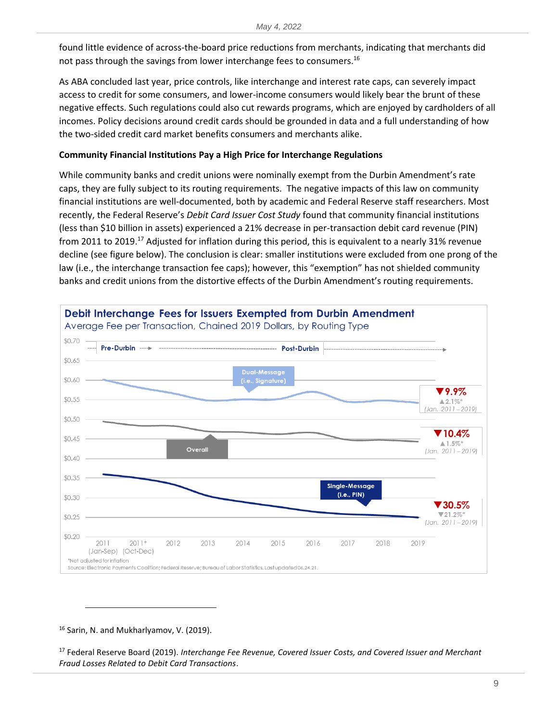found little evidence of across-the-board price reductions from merchants, indicating that merchants did not pass through the savings from lower interchange fees to consumers.<sup>16</sup>

As ABA concluded last year, price controls, like interchange and interest rate caps, can severely impact access to credit for some consumers, and lower-income consumers would likely bear the brunt of these negative effects. Such regulations could also cut rewards programs, which are enjoyed by cardholders of all incomes. Policy decisions around credit cards should be grounded in data and a full understanding of how the two-sided credit card market benefits consumers and merchants alike.

#### **Community Financial Institutions Pay a High Price for Interchange Regulations**

While community banks and credit unions were nominally exempt from the Durbin Amendment's rate caps, they are fully subject to its routing requirements. The negative impacts of this law on community financial institutions are well-documented, both by academic and Federal Reserve staff researchers. Most recently, the Federal Reserve's *Debit Card Issuer Cost Study* found that community financial institutions (less than \$10 billion in assets) experienced a 21% decrease in per-transaction debit card revenue (PIN) from 2011 to 2019.<sup>17</sup> Adjusted for inflation during this period, this is equivalent to a nearly 31% revenue decline (see figure below). The conclusion is clear: smaller institutions were excluded from one prong of the law (i.e., the interchange transaction fee caps); however, this "exemption" has not shielded community banks and credit unions from the distortive effects of the Durbin Amendment's routing requirements.



<sup>16</sup> Sarin, N. and Mukharlyamov, V. (2019).

<sup>17</sup> Federal Reserve Board (2019). *Interchange Fee Revenue, Covered Issuer Costs, and Covered Issuer and Merchant Fraud Losses Related to Debit Card Transactions*.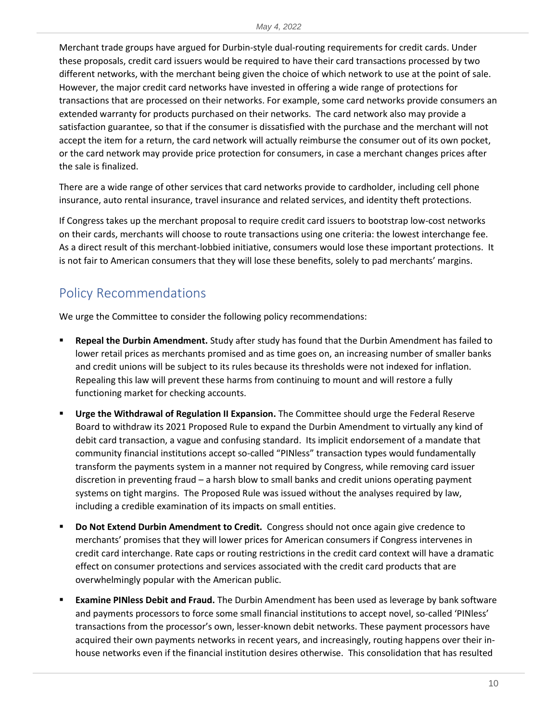Merchant trade groups have argued for Durbin-style dual-routing requirements for credit cards. Under these proposals, credit card issuers would be required to have their card transactions processed by two different networks, with the merchant being given the choice of which network to use at the point of sale. However, the major credit card networks have invested in offering a wide range of protections for transactions that are processed on their networks. For example, some card networks provide consumers an extended warranty for products purchased on their networks. The card network also may provide a satisfaction guarantee, so that if the consumer is dissatisfied with the purchase and the merchant will not accept the item for a return, the card network will actually reimburse the consumer out of its own pocket, or the card network may provide price protection for consumers, in case a merchant changes prices after the sale is finalized.

There are a wide range of other services that card networks provide to cardholder, including cell phone insurance, auto rental insurance, travel insurance and related services, and identity theft protections.

If Congress takes up the merchant proposal to require credit card issuers to bootstrap low-cost networks on their cards, merchants will choose to route transactions using one criteria: the lowest interchange fee. As a direct result of this merchant-lobbied initiative, consumers would lose these important protections. It is not fair to American consumers that they will lose these benefits, solely to pad merchants' margins.

# Policy Recommendations

We urge the Committee to consider the following policy recommendations:

- **Repeal the Durbin Amendment.** Study after study has found that the Durbin Amendment has failed to lower retail prices as merchants promised and as time goes on, an increasing number of smaller banks and credit unions will be subject to its rules because its thresholds were not indexed for inflation. Repealing this law will prevent these harms from continuing to mount and will restore a fully functioning market for checking accounts.
- **Urge the Withdrawal of Regulation II Expansion.** The Committee should urge the Federal Reserve Board to withdraw its 2021 Proposed Rule to expand the Durbin Amendment to virtually any kind of debit card transaction, a vague and confusing standard. Its implicit endorsement of a mandate that community financial institutions accept so-called "PINless" transaction types would fundamentally transform the payments system in a manner not required by Congress, while removing card issuer discretion in preventing fraud – a harsh blow to small banks and credit unions operating payment systems on tight margins. The Proposed Rule was issued without the analyses required by law, including a credible examination of its impacts on small entities.
- **Do Not Extend Durbin Amendment to Credit.** Congress should not once again give credence to merchants' promises that they will lower prices for American consumers if Congress intervenes in credit card interchange. Rate caps or routing restrictions in the credit card context will have a dramatic effect on consumer protections and services associated with the credit card products that are overwhelmingly popular with the American public.
- **Examine PINless Debit and Fraud.** The Durbin Amendment has been used as leverage by bank software and payments processors to force some small financial institutions to accept novel, so-called 'PINless' transactions from the processor's own, lesser-known debit networks. These payment processors have acquired their own payments networks in recent years, and increasingly, routing happens over their inhouse networks even if the financial institution desires otherwise. This consolidation that has resulted